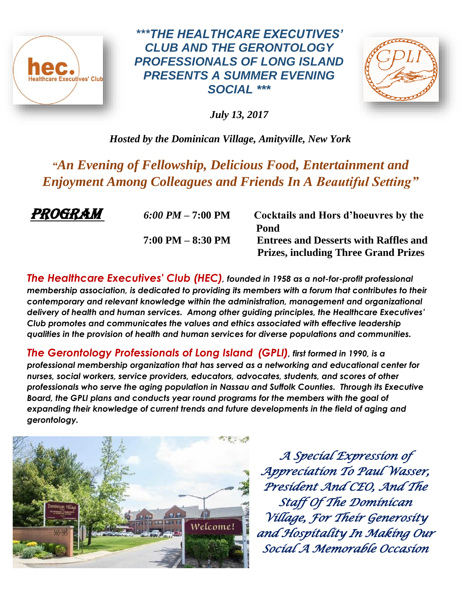

*\*\*\*THE HEALTHCARE EXECUTIVES' CLUB AND THE GERONTOLOGY PROFESSIONALS OF LONG ISLAND PRESENTS A SUMMER EVENING SOCIAL \*\*\**



*July 13, 2017*

*Hosted by the Dominican Village, Amityville, New York* 

*"An Evening of Fellowship, Delicious Food, Entertainment and Enjoyment Among Colleagues and Friends In A Beautiful Setting"* 

**PROGRAM** 6:00 PM – 7:00 PM Cocktails and Hors d'hoeuvres by the  **Pond 7:00 PM – 8:30 PM Entrees and Desserts with Raffles and Prizes, including Three Grand Prizes**

*The Healthcare Executives' Club (HEC), founded in 1958 as a not-for-profit professional membership association, is dedicated to providing its members with a forum that contributes to their contemporary and relevant knowledge within the administration, management and organizational delivery of health and human services. Among other guiding principles, the Healthcare Executives' Club promotes and communicates the values and ethics associated with effective leadership qualities in the provision of health and human services for diverse populations and communities.*

*The Gerontology Professionals of Long Island (GPLI), first formed in 1990, is a professional membership organization that has served as a networking and educational center for nurses, social workers, service providers, educators, advocates, students, and scores of other professionals who serve the aging population in Nassau and Suffolk Counties. Through its Executive Board, the GPLI plans and conducts year round programs for the members with the goal of expanding their knowledge of current trends and future developments in the field of aging and gerontology.*



*A Special Expression of Appreciation To Paul Wasser, President And CEO, And The Staff Of The Dominican Village, For Their Generosity and Hospitality In Making Our Social A Memorable Occasion*